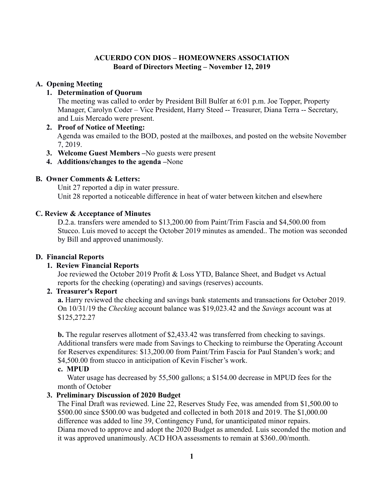### **ACUERDO CON DIOS – HOMEOWNERS ASSOCIATION Board of Directors Meeting – November 12, 2019**

### **A. Opening Meeting**

### **1. Determination of Quorum**

 The meeting was called to order by President Bill Bulfer at 6:01 p.m. Joe Topper, Property Manager, Carolyn Coder – Vice President, Harry Steed -- Treasurer, Diana Terra -- Secretary, and Luis Mercado were present.

- **2. Proof of Notice of Meeting:**  Agenda was emailed to the BOD, posted at the mailboxes, and posted on the website November 7, 2019.
- **3. Welcome Guest Members –**No guests were present
- **4. Additions/changes to the agenda –**None

### **B. Owner Comments & Letters:**

Unit 27 reported a dip in water pressure. Unit 28 reported a noticeable difference in heat of water between kitchen and elsewhere

### **C. Review & Acceptance of Minutes**

D.2.a. transfers were amended to \$13,200.00 from Paint/Trim Fascia and \$4,500.00 from Stucco. Luis moved to accept the October 2019 minutes as amended.. The motion was seconded by Bill and approved unanimously.

### **D. Financial Reports**

# **1. Review Financial Reports**

Joe reviewed the October 2019 Profit & Loss YTD, Balance Sheet, and Budget vs Actual reports for the checking (operating) and savings (reserves) accounts.

### **2. Treasurer's Report**

**a.** Harry reviewed the checking and savings bank statements and transactions for October 2019. On 10/31/19 the *Checking* account balance was \$19,023.42 and the *Savings* account was at \$125,272.27

**b.** The regular reserves allotment of \$2,433.42 was transferred from checking to savings. Additional transfers were made from Savings to Checking to reimburse the Operating Account for Reserves expenditures: \$13,200.00 from Paint/Trim Fascia for Paul Standen's work; and \$4,500.00 from stucco in anticipation of Kevin Fischer's work.

### **c. MPUD**

Water usage has decreased by 55,500 gallons; a \$154.00 decrease in MPUD fees for the month of October

### **3. Preliminary Discussion of 2020 Budget**

The Final Draft was reviewed. Line 22, Reserves Study Fee, was amended from \$1,500.00 to \$500.00 since \$500.00 was budgeted and collected in both 2018 and 2019. The \$1,000.00 difference was added to line 39, Contingency Fund, for unanticipated minor repairs. Diana moved to approve and adopt the 2020 Budget as amended. Luis seconded the motion and it was approved unanimously. ACD HOA assessments to remain at \$360..00/month.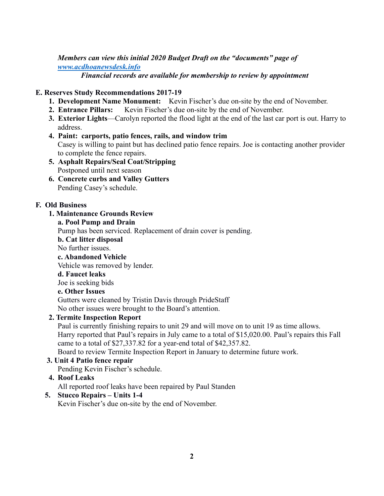*Members can view this initial 2020 Budget Draft on the "documents" page of [www.acdhoanewsdesk.info](http://www.acdhoanewsdesk.info/)*

*Financial records are available for membership to review by appointment*

# **E. Reserves Study Recommendations 2017-19**

- **1. Development Name Monument:** Kevin Fischer's due on-site by the end of November.
- **2. Entrance Pillars:** Kevin Fischer's due on-site by the end of November.
- **3. Exterior Lights**—Carolyn reported the flood light at the end of the last car port is out. Harry to address.
- **4. Paint: carports, patio fences, rails, and window trim** Casey is willing to paint but has declined patio fence repairs. Joe is contacting another provider to complete the fence repairs.
- **5. Asphalt Repairs/Seal Coat/Stripping** Postponed until next season
- **6. Concrete curbs and Valley Gutters** Pending Casey's schedule.

# **F. Old Business**

### **1. Maintenance Grounds Review**

### **a. Pool Pump and Drain**

Pump has been serviced. Replacement of drain cover is pending.

### **b. Cat litter disposal**

No further issues.

#### **c. Abandoned Vehicle**

Vehicle was removed by lender.

### **d. Faucet leaks**

Joe is seeking bids

# **e. Other Issues**

Gutters were cleaned by Tristin Davis through PrideStaff No other issues were brought to the Board's attention.

# **2. Termite Inspection Report**

Paul is currently finishing repairs to unit 29 and will move on to unit 19 as time allows. Harry reported that Paul's repairs in July came to a total of \$15,020.00. Paul's repairs this Fall came to a total of \$27,337.82 for a year-end total of \$42,357.82.

Board to review Termite Inspection Report in January to determine future work.

# **3. Unit 4 Patio fence repair**

Pending Kevin Fischer's schedule.

# **4. Roof Leaks**

All reported roof leaks have been repaired by Paul Standen

# **5. Stucco Repairs – Units 1-4**

Kevin Fischer's due on-site by the end of November.